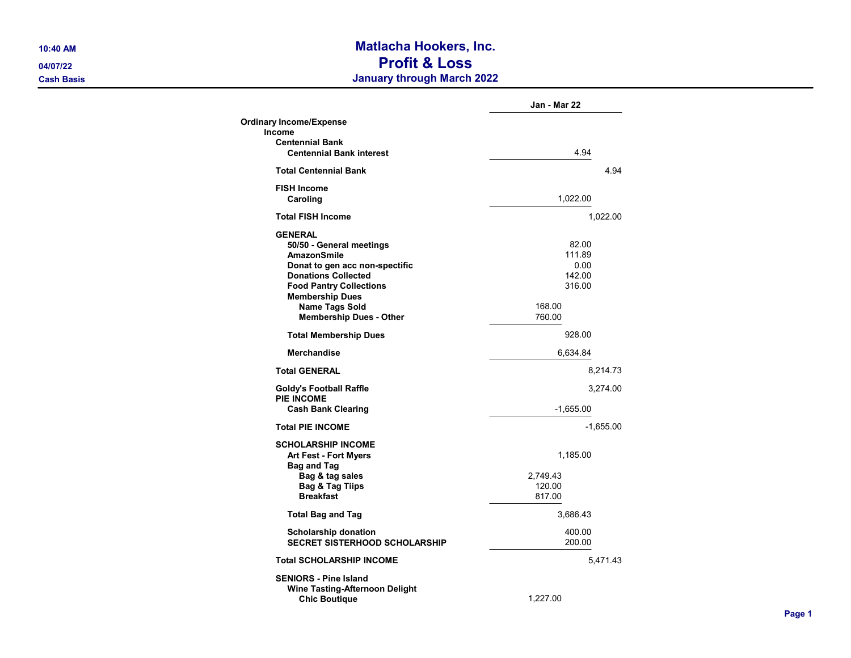## 10:40 AM Matlacha Hookers, Inc. 04/07/22 Profit & Loss Cash Basis January through March 2022

|                                                                                                                                                                                                                                                  | Jan - Mar 22                                                    |
|--------------------------------------------------------------------------------------------------------------------------------------------------------------------------------------------------------------------------------------------------|-----------------------------------------------------------------|
| <b>Ordinary Income/Expense</b>                                                                                                                                                                                                                   |                                                                 |
| <b>Income</b>                                                                                                                                                                                                                                    |                                                                 |
| <b>Centennial Bank</b><br><b>Centennial Bank interest</b>                                                                                                                                                                                        | 4.94                                                            |
| <b>Total Centennial Bank</b>                                                                                                                                                                                                                     | 4.94                                                            |
| <b>FISH Income</b><br>Caroling                                                                                                                                                                                                                   | 1,022.00                                                        |
| <b>Total FISH Income</b>                                                                                                                                                                                                                         | 1,022.00                                                        |
| <b>GENERAL</b><br>50/50 - General meetings<br>AmazonSmile<br>Donat to gen acc non-spectific<br><b>Donations Collected</b><br><b>Food Pantry Collections</b><br><b>Membership Dues</b><br><b>Name Tags Sold</b><br><b>Membership Dues - Other</b> | 82.00<br>111.89<br>0.00<br>142.00<br>316.00<br>168.00<br>760.00 |
| <b>Total Membership Dues</b>                                                                                                                                                                                                                     | 928.00                                                          |
| <b>Merchandise</b>                                                                                                                                                                                                                               | 6,634.84                                                        |
| <b>Total GENERAL</b>                                                                                                                                                                                                                             | 8,214.73                                                        |
| <b>Goldy's Football Raffle</b><br><b>PIE INCOME</b>                                                                                                                                                                                              | 3,274.00                                                        |
| <b>Cash Bank Clearing</b>                                                                                                                                                                                                                        | $-1,655.00$                                                     |
| <b>Total PIE INCOME</b>                                                                                                                                                                                                                          | $-1,655.00$                                                     |
| <b>SCHOLARSHIP INCOME</b><br><b>Art Fest - Fort Myers</b><br><b>Bag and Tag</b><br>Bag & tag sales                                                                                                                                               | 1,185.00<br>2,749.43                                            |
| <b>Bag &amp; Tag Tiips</b><br><b>Breakfast</b>                                                                                                                                                                                                   | 120.00<br>817.00                                                |
| <b>Total Bag and Tag</b>                                                                                                                                                                                                                         | 3,686.43                                                        |
| <b>Scholarship donation</b><br><b>SECRET SISTERHOOD SCHOLARSHIP</b>                                                                                                                                                                              | 400.00<br>200.00                                                |
| <b>Total SCHOLARSHIP INCOME</b>                                                                                                                                                                                                                  | 5,471.43                                                        |
| <b>SENIORS - Pine Island</b><br><b>Wine Tasting-Afternoon Delight</b><br><b>Chic Boutique</b>                                                                                                                                                    | 1,227.00                                                        |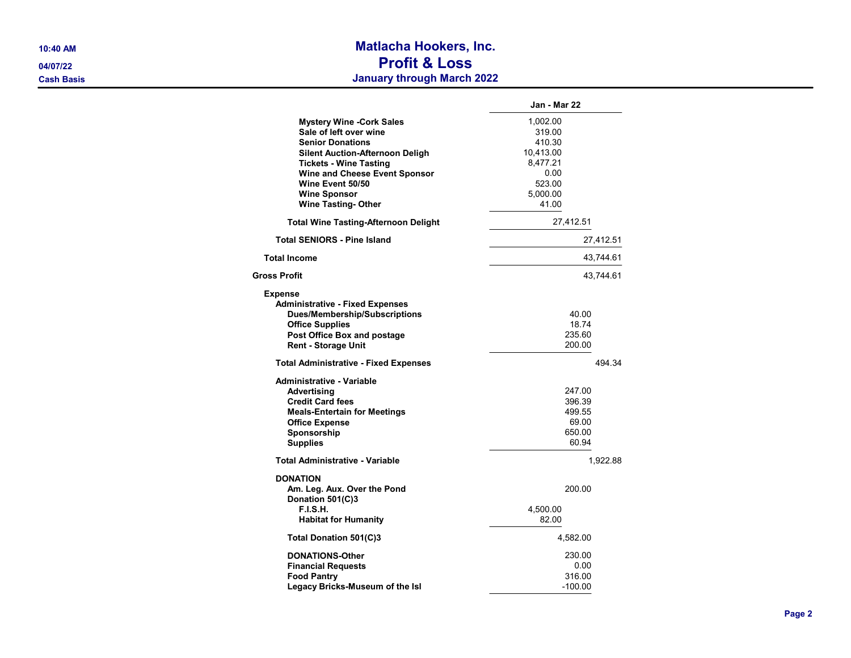## 10:40 AM Matlacha Hookers, Inc. 04/07/22 Profit & Loss Cash Basis January through March 2022

|                                              | Jan - Mar 22 |  |
|----------------------------------------------|--------------|--|
| <b>Mystery Wine -Cork Sales</b>              | 1,002.00     |  |
| Sale of left over wine                       | 319.00       |  |
| <b>Senior Donations</b>                      | 410.30       |  |
| Silent Auction-Afternoon Deligh              | 10,413.00    |  |
| <b>Tickets - Wine Tasting</b>                | 8,477.21     |  |
| Wine and Cheese Event Sponsor                | 0.00         |  |
| Wine Event 50/50                             | 523.00       |  |
| <b>Wine Sponsor</b>                          | 5,000.00     |  |
| <b>Wine Tasting-Other</b>                    | 41.00        |  |
| <b>Total Wine Tasting-Afternoon Delight</b>  | 27,412.51    |  |
| <b>Total SENIORS - Pine Island</b>           | 27,412.51    |  |
| <b>Total Income</b>                          | 43,744.61    |  |
| Gross Profit                                 | 43,744.61    |  |
| <b>Expense</b>                               |              |  |
| <b>Administrative - Fixed Expenses</b>       |              |  |
| <b>Dues/Membership/Subscriptions</b>         | 40.00        |  |
| <b>Office Supplies</b>                       | 18.74        |  |
| Post Office Box and postage                  | 235.60       |  |
| <b>Rent - Storage Unit</b>                   | 200.00       |  |
| <b>Total Administrative - Fixed Expenses</b> | 494.34       |  |
| Administrative - Variable                    |              |  |
| Advertisina                                  | 247.00       |  |
| <b>Credit Card fees</b>                      | 396.39       |  |
| <b>Meals-Entertain for Meetings</b>          | 499.55       |  |
| <b>Office Expense</b>                        | 69.00        |  |
| Sponsorship                                  | 650.00       |  |
| <b>Supplies</b>                              | 60.94        |  |
| <b>Total Administrative - Variable</b>       | 1,922.88     |  |
| <b>DONATION</b>                              |              |  |
| Am. Leg. Aux. Over the Pond                  | 200.00       |  |
| Donation 501(C)3                             |              |  |
| <b>F.I.S.H.</b>                              | 4,500.00     |  |
| <b>Habitat for Humanity</b>                  | 82.00        |  |
| Total Donation 501(C)3                       | 4,582.00     |  |
| DONATIONS-Other                              | 230.00       |  |
| <b>Financial Requests</b>                    | 0.00         |  |
| <b>Food Pantry</b>                           | 316.00       |  |
| Legacy Bricks-Museum of the Isl              | -100.00      |  |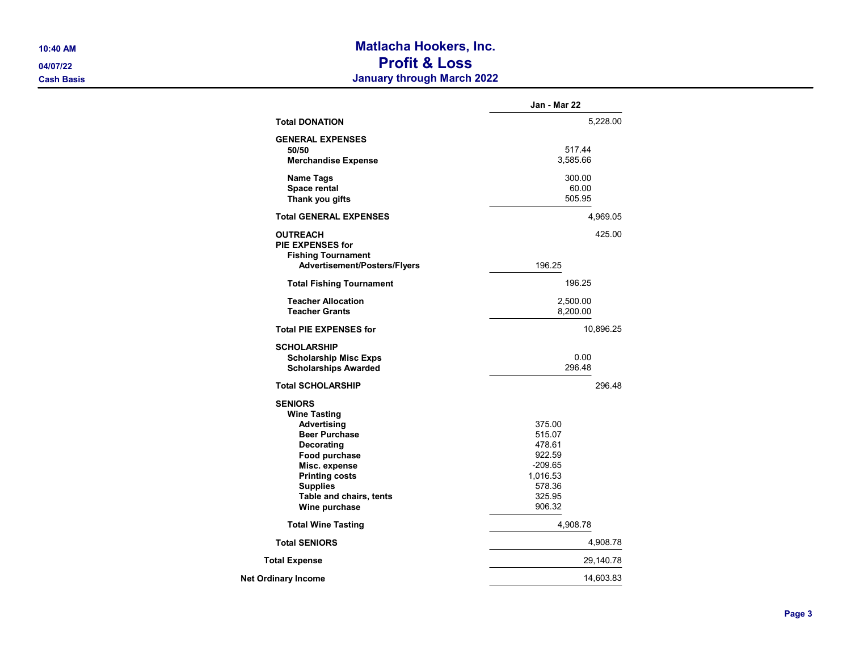## 10:40 AM Matlacha Hookers, Inc. 04/07/22 Profit & Loss Cash Basis January through March 2022

|                                                                                                                                                                                                                                    | Jan - Mar 22                                                                                |
|------------------------------------------------------------------------------------------------------------------------------------------------------------------------------------------------------------------------------------|---------------------------------------------------------------------------------------------|
| <b>Total DONATION</b>                                                                                                                                                                                                              | 5,228.00                                                                                    |
| <b>GENERAL EXPENSES</b><br>50/50<br><b>Merchandise Expense</b>                                                                                                                                                                     | 517.44<br>3,585.66                                                                          |
| <b>Name Tags</b><br>Space rental<br>Thank you gifts                                                                                                                                                                                | 300.00<br>60.00<br>505.95                                                                   |
| <b>Total GENERAL EXPENSES</b>                                                                                                                                                                                                      | 4,969.05                                                                                    |
| <b>OUTREACH</b><br><b>PIE EXPENSES for</b><br><b>Fishing Tournament</b><br>Advertisement/Posters/Flyers                                                                                                                            | 425.00<br>196.25                                                                            |
| <b>Total Fishing Tournament</b>                                                                                                                                                                                                    | 196.25                                                                                      |
|                                                                                                                                                                                                                                    |                                                                                             |
| <b>Teacher Allocation</b><br><b>Teacher Grants</b>                                                                                                                                                                                 | 2,500.00<br>8,200.00                                                                        |
| <b>Total PIE EXPENSES for</b>                                                                                                                                                                                                      | 10,896.25                                                                                   |
| <b>SCHOLARSHIP</b><br><b>Scholarship Misc Exps</b><br><b>Scholarships Awarded</b>                                                                                                                                                  | 0.00<br>296.48                                                                              |
| <b>Total SCHOLARSHIP</b>                                                                                                                                                                                                           | 296.48                                                                                      |
| <b>SENIORS</b><br><b>Wine Tasting</b><br><b>Advertising</b><br><b>Beer Purchase</b><br><b>Decorating</b><br>Food purchase<br>Misc. expense<br><b>Printing costs</b><br><b>Supplies</b><br>Table and chairs, tents<br>Wine purchase | 375.00<br>515.07<br>478.61<br>922.59<br>$-209.65$<br>1,016.53<br>578.36<br>325.95<br>906.32 |
| <b>Total Wine Tasting</b>                                                                                                                                                                                                          | 4,908.78                                                                                    |
| <b>Total SENIORS</b>                                                                                                                                                                                                               | 4,908.78                                                                                    |
| <b>Total Expense</b>                                                                                                                                                                                                               | 29,140.78                                                                                   |
| <b>Net Ordinary Income</b>                                                                                                                                                                                                         | 14,603.83                                                                                   |